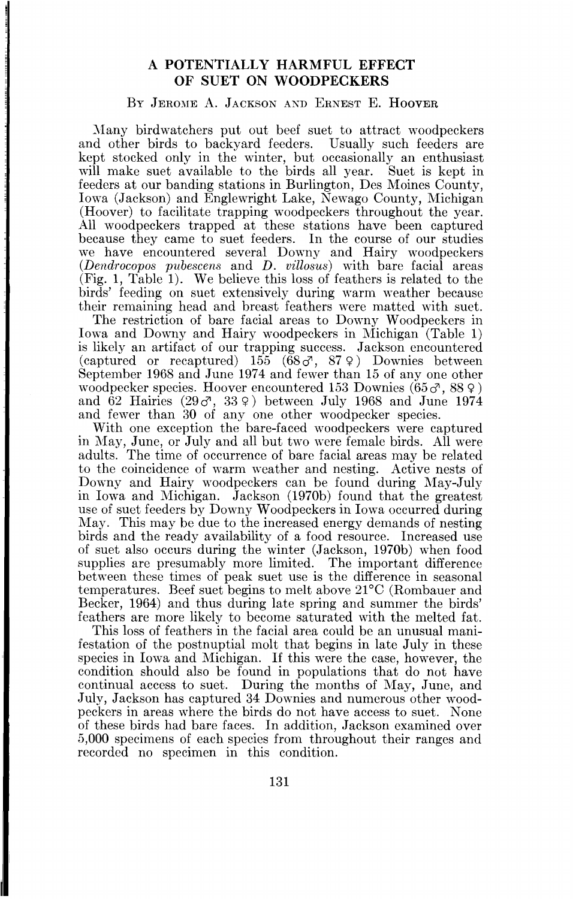# **A POTENTIALLY HARMFUL EFFECT OF SUET ON WOODPECKERS**

## BY JEROME A. JACKSON AND ERNEST E. HOOVER

**Many birdwatchers put out beef suet to attract woodpeckers and other birds to backyard feeders. Usually such feeders are kept stocked only in the winter, but occasionally an enthusiast will make suet available to the birds all year. Suet is kept in feeders at our banding stations in Burlington, Des Moines County, Iowa (Jackson) and Englewright Lake, Newago County, Michigan (Hoover) to facilitate trapping woodpeckers throughout the year. All woodpeckers trapped at these stations have been captured because they came to suet feeders. In the course of our studies we have encountered several Downy and Hairy woodpeckers**  (*Dendrocopos pubescens* and *D. villosus*) with bare facial areas **(Fig. 1, Table 1). We believe this loss of feathers is related to the birds' feeding on suet extensively during warm weather because their remaining head and breast feathers were matted with suet.** 

**The restriction of bare facial areas to Downy Woodpeckers in Iowa and Downy and Hairy woodpeckers in Michigan (Table 1) is likely an artifact of our trapping success. Jackson encountered (captured or recaptured) 155 (68c•, 87 9) Downies between September 1968 and June 1974 and fewer than 15 of any one other woodpecker species. Hoover encountered 153 Downies (65 c•, 88 9 ) and 62 Hairies (29c•, 33 9) between July 1968 and June 1974 and fewer than 30 of any one other woodpecker species.** 

**With one exception the bare-faced woodpeckers were captured in May, June, or July and all but two were female birds. All were adults. The time of occurrence of bare facial areas may be related to the coincidence of warm weather and nesting. Active nests of Downy and Hairy woodpeckers can be found during May-July in Iowa and Michigan. Jackson (1970b) found that the greatest use of suet feeders by Downy Woodpeckers in Iowa occurred during May. This may be due to the increased energy demands of nesting birds and the ready availability of a food resource. Increased use of suet also occurs during the winter (Jackson, 1970b) when food supplies are presumably more limited. The important difference between these times of peak suet use is the difference in seasonal temperatures. Beef suet begins to melt above 21øC (Rombauer and Becker, 1964) and thus during late spring and summer the birds' feathers are more likely to become saturated with the melted fat.** 

**This loss of feathers in the facial area could be an unusual manifestation of the postnuptial molt that begins in late July in these species in Iowa and Michigan. If this were the case, however, the condition should also be found in populations that do not have continual access to suet. During the months of May, June, and July, Jackson has captured 34 Downies and numerous other woodpeckers in areas where the birds do not have access to suet. None of these birds had bare faces. In addition, Jackson examined over 5,000 specimens of each species from throughout their ranges and recorded no specimen in this condition.**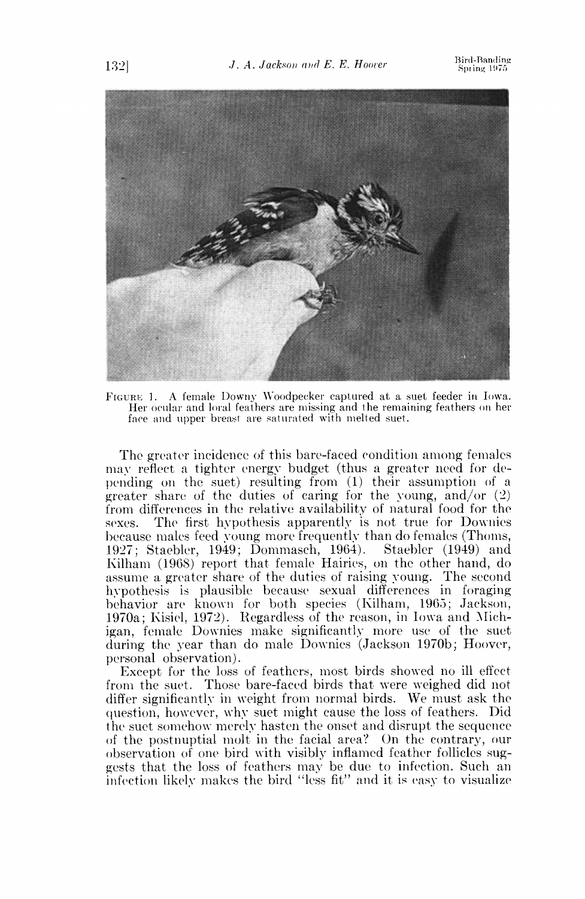

FIGURE 1. A female Downy Woodpecker captured at a suet feeder in Iowa. Her ocular and loral feathers are missing and the remaining feathers on her face and upper breast are saturated with melted suet.

The greater incidence of this bare-faced condition among females may reflect a tighter energy budget (thus a greater need for depending on the suet) resulting from (1) their assumption of a greater share of the duties of caring for the young, and/or  $(2)$ from differences in the relative availability of natural food for the sexes. The first hypothesis apparently is not true for Downies because males feed young more frequently than do females (Thoms, 1927; Staebler, 1949; Dommasch, 1964). Staebler (1949) and Kilham (1968) report that female Hairies, on the other hand, do assume a greater share of the duties of raising young. The second hypothesis is plausible because sexual differences in foraging behavior are known for both species (Kilham, 1965; Jackson, 1970a; Kisiel, 1972). Regardless of the reason, in Iowa and Michigan, female Downies make significantly more use of the suet during the year than do male Downies (Jackson 1970b; Hoover, personal observation).

Except for the loss of feathers, most birds showed no ill effect from the suet. Those bare-faced birds that were weighed did not differ significantly in weight from normal birds. We must ask the question, however, why suet might cause the loss of feathers. Did the suet somehow merely hasten the onset and disrupt the sequence of the postnuptial molt in the facial area? On the contrary, our observation of one bird with visibly inflamed feather follicles suggests that the loss of feathers may be due to infection. Such an infection likely makes the bird "less fit" and it is easy to visualize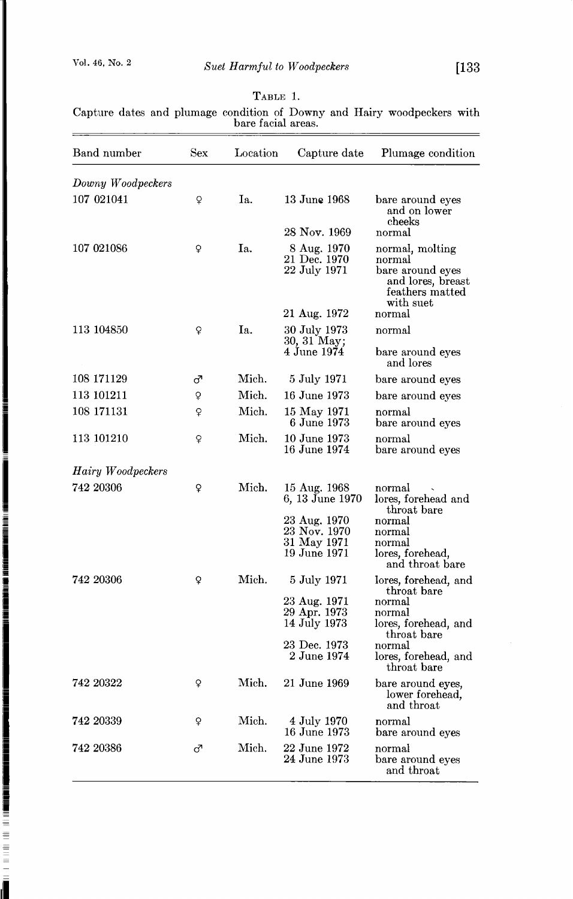$\overline{a}$ 

a a construction of the construction of the construction of the construction of the construction of the construction of the construction of the construction of the construction of the construction of the construction of th

d.

### **TABLE 1.**

**Capture dates and plumage condition of Downy and Hairy woodpeckers with bare facial areas.** 

| Band number       | Sex | Location | Capture date                                                                                   | Plumage condition                                                                                                 |
|-------------------|-----|----------|------------------------------------------------------------------------------------------------|-------------------------------------------------------------------------------------------------------------------|
| Downy Woodpeckers |     |          |                                                                                                |                                                                                                                   |
| 107 021041        | Q   | Iа.      | 13 June 1968<br>28 Nov. 1969                                                                   | bare around eyes<br>and on lower<br>cheeks<br>normal                                                              |
| 107 021086        | ç   | Ia.      | 8 Aug. 1970<br>21 Dec. 1970<br>22 July 1971<br>21 Aug. 1972                                    | normal, molting<br>normal<br>bare around eyes<br>and lores, breast<br>feathers matted<br>with suet<br>normal      |
| 113 104850        | ç   | Ia.      | 30 July 1973                                                                                   | normal                                                                                                            |
|                   |     |          | 30, 31 May;<br>4 June 1974                                                                     | bare around eyes<br>and lores                                                                                     |
| 108 171129        | ೆ   | Mich.    | 5 July 1971                                                                                    | bare around eyes                                                                                                  |
| 113 101211        | ò   | Mich.    | 16 June 1973                                                                                   | bare around eyes                                                                                                  |
| 108 171131        | Q   | Mich.    | 15 May 1971<br>6 June 1973                                                                     | normal<br>bare around eyes                                                                                        |
| 113 101210        | ò   | Mich.    | 10 June 1973<br>16 June 1974                                                                   | normal<br>bare around eyes                                                                                        |
| Hairy Woodpeckers |     |          |                                                                                                |                                                                                                                   |
| 742 20306         | ç   | Mich.    | 15 Aug. 1968<br>6, 13 June 1970<br>23 Aug. 1970<br>23 Nov. 1970<br>31 May 1971<br>19 June 1971 | normal<br>lores, forehead and<br>throat bare<br>normal<br>normal<br>normal<br>lores, forehead,<br>and throat bare |
| 742 20306         | ç   | Mich.    | 5 July 1971                                                                                    | lores, forehead, and                                                                                              |
|                   |     |          | 23 Aug. 1971<br>29 Apr. 1973<br>14 July 1973<br>23 Dec. 1973                                   | throat bare<br>normal<br>normal<br>lores, forehead, and<br>throat bare<br>normal                                  |
|                   |     |          | 2 June 1974                                                                                    | lores, forehead, and<br>throat bare                                                                               |
| 742 20322         | ¥   | Mich.    | 21 June 1969                                                                                   | bare around eyes,<br>lower forehead,<br>and throat                                                                |
| 742 20339         | ò   | Mich.    | 4 July 1970<br>16 June 1973                                                                    | normal<br>bare around eyes                                                                                        |
| 742 20386         | ೆ   | Mich.    | 22 June 1972<br>24 June 1973                                                                   | normal<br>bare around eyes<br>and throat                                                                          |